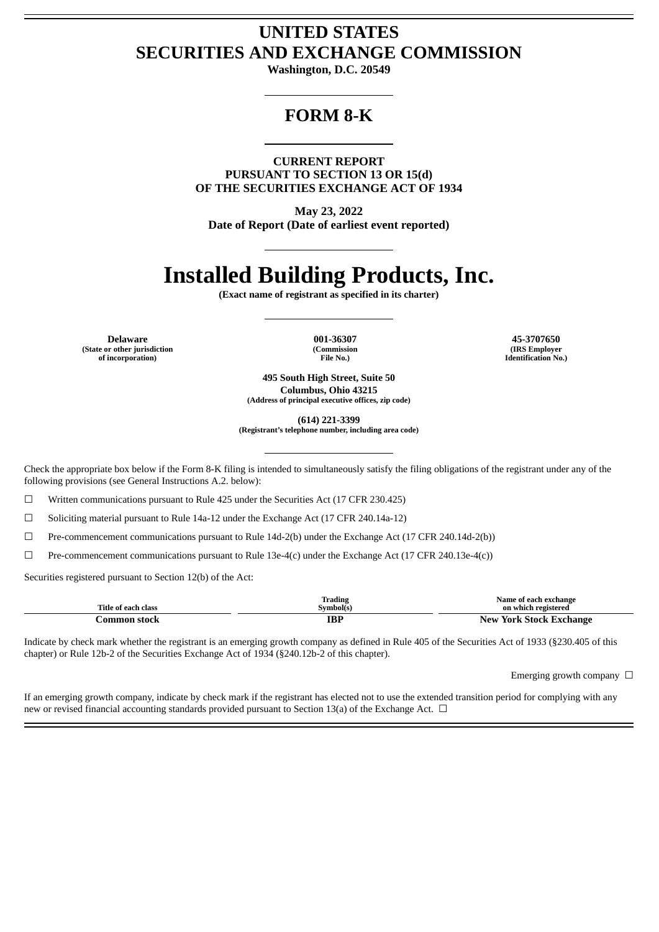# **UNITED STATES SECURITIES AND EXCHANGE COMMISSION**

**Washington, D.C. 20549**

# **FORM 8-K**

**CURRENT REPORT PURSUANT TO SECTION 13 OR 15(d) OF THE SECURITIES EXCHANGE ACT OF 1934**

**May 23, 2022 Date of Report (Date of earliest event reported)**

# **Installed Building Products, Inc.**

**(Exact name of registrant as specified in its charter)**

**Delaware 001-36307 45-3707650 (State or other jurisdiction of incorporation)**

**(Commission File No.)**

**(IRS Employer Identification No.)**

**495 South High Street, Suite 50 Columbus, Ohio 43215 (Address of principal executive offices, zip code)**

**(614) 221-3399**

**(Registrant's telephone number, including area code)**

Check the appropriate box below if the Form 8-K filing is intended to simultaneously satisfy the filing obligations of the registrant under any of the following provisions (see General Instructions A.2. below):

 $\Box$  Written communications pursuant to Rule 425 under the Securities Act (17 CFR 230.425)

 $\Box$  Soliciting material pursuant to Rule 14a-12 under the Exchange Act (17 CFR 240.14a-12)

 $\Box$  Pre-commencement communications pursuant to Rule 14d-2(b) under the Exchange Act (17 CFR 240.14d-2(b))

 $\Box$  Pre-commencement communications pursuant to Rule 13e-4(c) under the Exchange Act (17 CFR 240.13e-4(c))

Securities registered pursuant to Section 12(b) of the Act:

| Title of each class | Trading<br><b>Symbol</b> (s) | Name of each exchange          |
|---------------------|------------------------------|--------------------------------|
|                     |                              | on which registered            |
| tommon stock        | IBP                          | <b>New York Stock Exchange</b> |

Indicate by check mark whether the registrant is an emerging growth company as defined in Rule 405 of the Securities Act of 1933 (§230.405 of this chapter) or Rule 12b-2 of the Securities Exchange Act of 1934 (§240.12b-2 of this chapter).

Emerging growth company  $\Box$ 

If an emerging growth company, indicate by check mark if the registrant has elected not to use the extended transition period for complying with any new or revised financial accounting standards provided pursuant to Section 13(a) of the Exchange Act.  $\Box$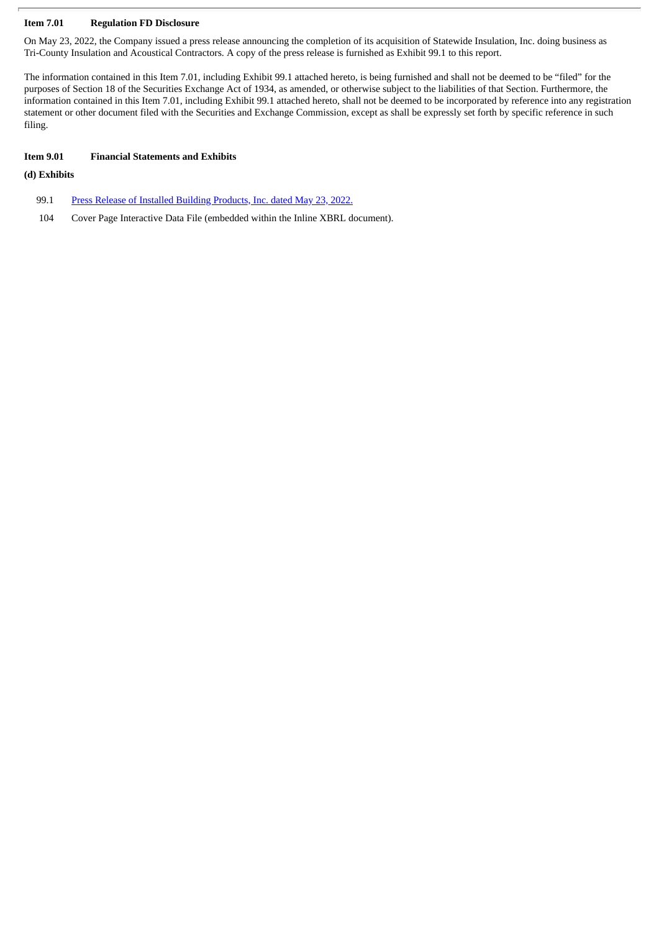# **Item 7.01 Regulation FD Disclosure**

On May 23, 2022, the Company issued a press release announcing the completion of its acquisition of Statewide Insulation, Inc. doing business as Tri-County Insulation and Acoustical Contractors. A copy of the press release is furnished as Exhibit 99.1 to this report.

The information contained in this Item 7.01, including Exhibit 99.1 attached hereto, is being furnished and shall not be deemed to be "filed" for the purposes of Section 18 of the Securities Exchange Act of 1934, as amended, or otherwise subject to the liabilities of that Section. Furthermore, the information contained in this Item 7.01, including Exhibit 99.1 attached hereto, shall not be deemed to be incorporated by reference into any registration statement or other document filed with the Securities and Exchange Commission, except as shall be expressly set forth by specific reference in such filing.

# **Item 9.01 Financial Statements and Exhibits**

# **(d) Exhibits**

- 99.1 Press Release of Installed Building [Products,](#page-3-0) Inc. dated May 23, 2022.
- 104 Cover Page Interactive Data File (embedded within the Inline XBRL document).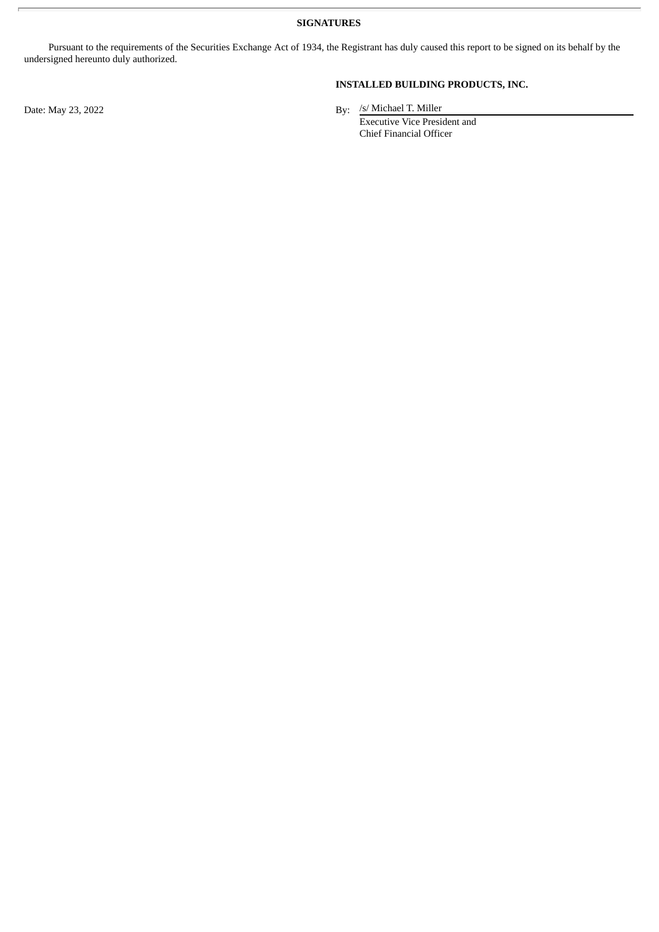**SIGNATURES**

Pursuant to the requirements of the Securities Exchange Act of 1934, the Registrant has duly caused this report to be signed on its behalf by the undersigned hereunto duly authorized.

Date: May 23, 2022

# **INSTALLED BUILDING PRODUCTS, INC.**

By: /s/ Michael T. Miller

Executive Vice President and Chief Financial Officer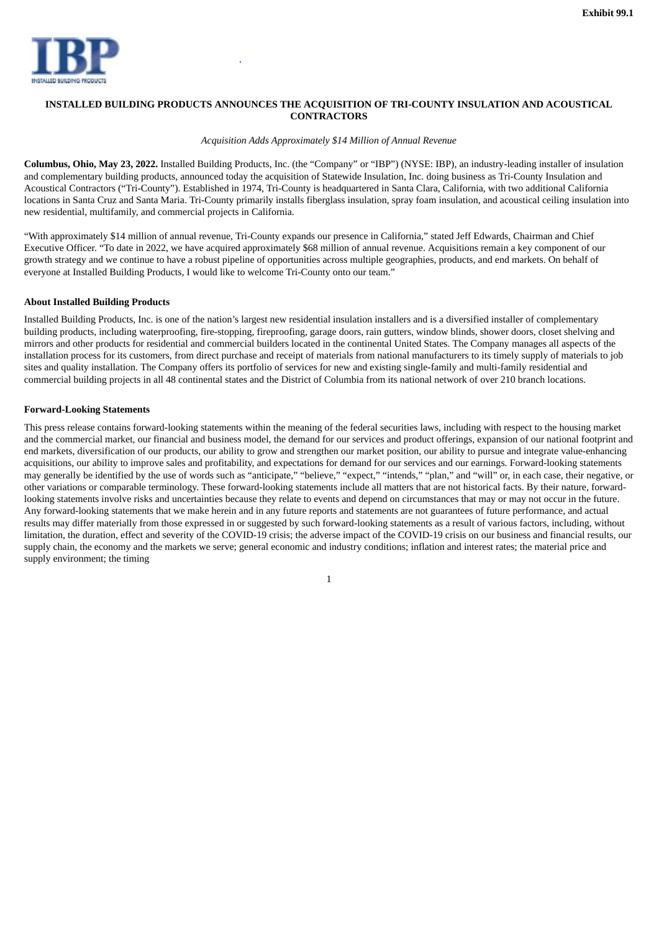<span id="page-3-0"></span>

# **INSTALLED BUILDING PRODUCTS ANNOUNCES THE ACQUISITION OF TRI-COUNTY INSULATION AND ACOUSTICAL CONTRACTORS**

#### *Acquisition Adds Approximately \$14 Million of Annual Revenue*

**Columbus, Ohio, May 23, 2022.** Installed Building Products, Inc. (the "Company" or "IBP") (NYSE: IBP), an industry-leading installer of insulation and complementary building products, announced today the acquisition of Statewide Insulation, Inc. doing business as Tri-County Insulation and Acoustical Contractors ("Tri-County"). Established in 1974, Tri-County is headquartered in Santa Clara, California, with two additional California locations in Santa Cruz and Santa Maria. Tri-County primarily installs fiberglass insulation, spray foam insulation, and acoustical ceiling insulation into new residential, multifamily, and commercial projects in California.

"With approximately \$14 million of annual revenue, Tri-County expands our presence in California," stated Jeff Edwards, Chairman and Chief Executive Officer. "To date in 2022, we have acquired approximately \$68 million of annual revenue. Acquisitions remain a key component of our growth strategy and we continue to have a robust pipeline of opportunities across multiple geographies, products, and end markets. On behalf of everyone at Installed Building Products, I would like to welcome Tri-County onto our team."

## **About Installed Building Products**

Installed Building Products, Inc. is one of the nation's largest new residential insulation installers and is a diversified installer of complementary building products, including waterproofing, fire-stopping, fireproofing, garage doors, rain gutters, window blinds, shower doors, closet shelving and mirrors and other products for residential and commercial builders located in the continental United States. The Company manages all aspects of the installation process for its customers, from direct purchase and receipt of materials from national manufacturers to its timely supply of materials to job sites and quality installation. The Company offers its portfolio of services for new and existing single-family and multi-family residential and commercial building projects in all 48 continental states and the District of Columbia from its national network of over 210 branch locations.

## **Forward-Looking Statements**

This press release contains forward-looking statements within the meaning of the federal securities laws, including with respect to the housing market and the commercial market, our financial and business model, the demand for our services and product offerings, expansion of our national footprint and end markets, diversification of our products, our ability to grow and strengthen our market position, our ability to pursue and integrate value-enhancing acquisitions, our ability to improve sales and profitability, and expectations for demand for our services and our earnings. Forward-looking statements may generally be identified by the use of words such as "anticipate," "believe," "expect," "intends," "plan," and "will" or, in each case, their negative, or other variations or comparable terminology. These forward-looking statements include all matters that are not historical facts. By their nature, forwardlooking statements involve risks and uncertainties because they relate to events and depend on circumstances that may or may not occur in the future. Any forward-looking statements that we make herein and in any future reports and statements are not guarantees of future performance, and actual results may differ materially from those expressed in or suggested by such forward-looking statements as a result of various factors, including, without limitation, the duration, effect and severity of the COVID-19 crisis; the adverse impact of the COVID-19 crisis on our business and financial results, our supply chain, the economy and the markets we serve; general economic and industry conditions; inflation and interest rates; the material price and supply environment; the timing

1